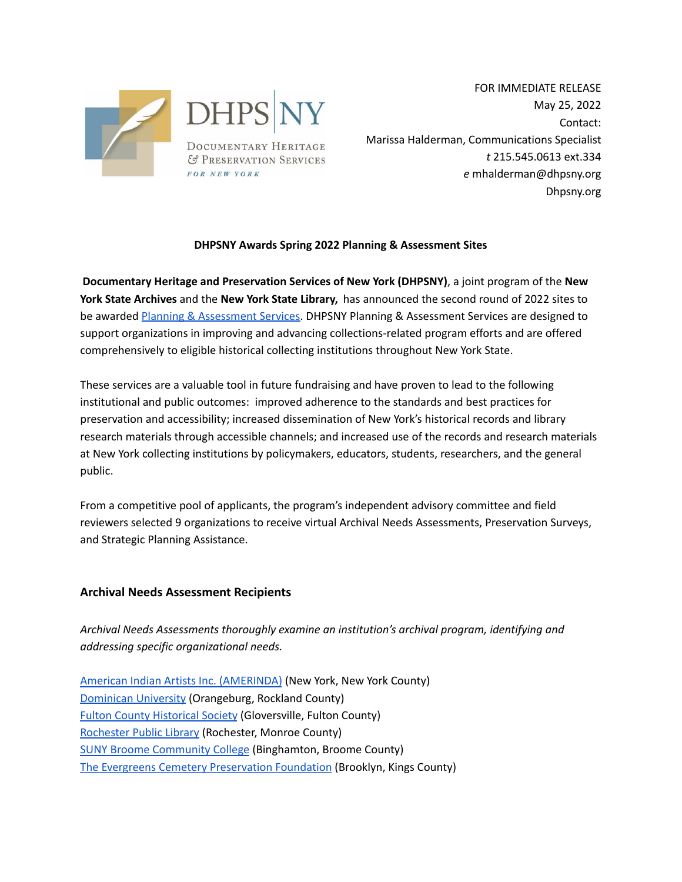

FOR IMMEDIATE RELEASE May 25, 2022 Contact: Marissa Halderman, Communications Specialist *t* 215.545.0613 ext.334 *e* mhalderman@dhpsny.org Dhpsny.org

## **DHPSNY Awards Spring 2022 Planning & Assessment Sites**

**Documentary Heritage and Preservation Services of New York (DHPSNY)**, a joint program of the **New York State Archives** and the **New York State Library,** has announced the second round of 2022 sites to be awarded Planning & [Assessment](https://dhpsny.org/planning-assessment) Services. DHPSNY Planning & Assessment Services are designed to support organizations in improving and advancing collections-related program efforts and are offered comprehensively to eligible historical collecting institutions throughout New York State.

These services are a valuable tool in future fundraising and have proven to lead to the following institutional and public outcomes: improved adherence to the standards and best practices for preservation and accessibility; increased dissemination of New York's historical records and library research materials through accessible channels; and increased use of the records and research materials at New York collecting institutions by policymakers, educators, students, researchers, and the general public.

From a competitive pool of applicants, the program's independent advisory committee and field reviewers selected 9 organizations to receive virtual Archival Needs Assessments, Preservation Surveys, and Strategic Planning Assistance.

## **Archival Needs Assessment Recipients**

*Archival Needs Assessments thoroughly examine an institution's archival program, identifying and addressing specific organizational needs.*

American Indian Artists Inc. [\(AMERINDA\)](http://www.amerinda.org) (New York, New York County) [Dominican](https://www.dc.edu) University (Orangeburg, Rockland County) Fulton County [Historical](https://fultoncountyhistoricalsociety.org) Society (Gloversville, Fulton County) [Rochester](http://roccitylibrary.org) Public Library (Rochester, Monroe County) SUNY Broome [Community](https://www1.sunybroome.edu) College (Binghamton, Broome County) The Evergreens Cemetery [Preservation](https://www.theevergreenscemetery.org/preservation-foundation) Foundation (Brooklyn, Kings County)